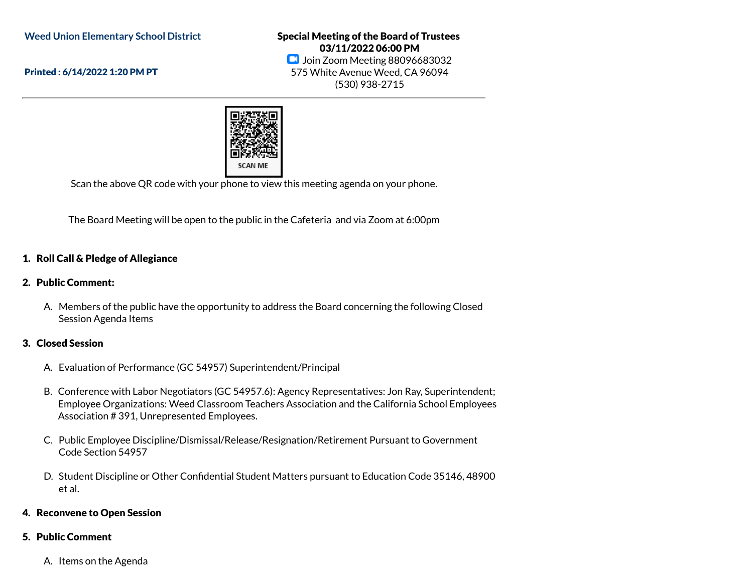**Weed Union Elementary School District**

Printed : 6/14/2022 1:20 PM PT

Special Meeting of the Board of Trustees 03/11/2022 06:00 PM **D** Join Zoom Meeting 88096683032 575 White Avenue Weed, CA 96094 (530) 938-2715



Scan the above QR code with your phone to view this meeting agenda on your phone.

The Board Meeting will be open to the public in the Cafeteria and via Zoom at 6:00pm

### 1. Roll Call & Pledge of Allegiance

#### 2. Public Comment:

A. Members of the public have the opportunity to address the Board concerning the following Closed Session Agenda Items

# 3. Closed Session

- A. Evaluation of Performance (GC 54957) Superintendent/Principal
- B. Conference with Labor Negotiators (GC 54957.6): Agency Representatives: Jon Ray, Superintendent; Employee Organizations: Weed Classroom Teachers Association and the California School Employees Association # 391, Unrepresented Employees.
- C. Public Employee Discipline/Dismissal/Release/Resignation/Retirement Pursuant to Government Code Section 54957
- D. Student Discipline or Other Confidential Student Matters pursuant to Education Code 35146, 48900 et al.

#### 4. Reconvene to Open Session

#### 5. Public Comment

A. Items on the Agenda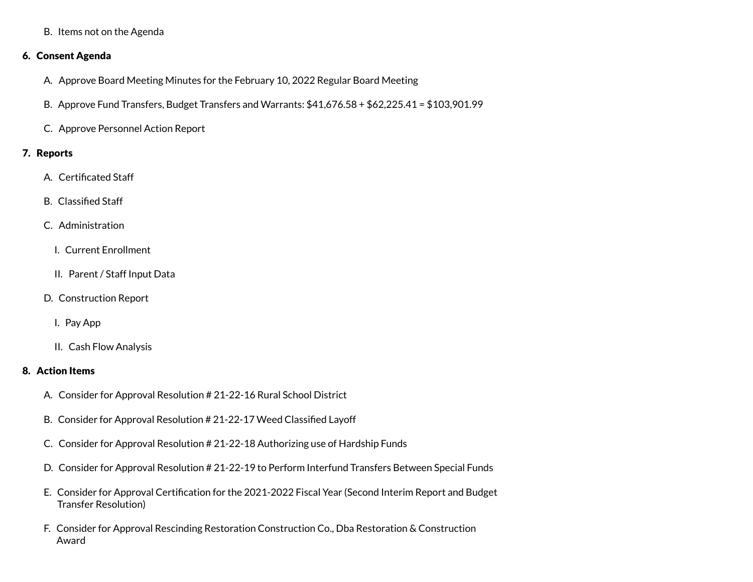B. Items not on the Agenda

# 6. Consent Agenda

- A. Approve Board Meeting Minutes for the February 10, 2022 Regular Board Meeting
- B. Approve Fund Transfers, Budget Transfers and Warrants: \$41,676.58 + \$62,225.41 = \$103,901.99
- C. Approve Personnel Action Report

### 7. Reports

- A. Certificated Staff
- B. Classified Staff
- C. Administration
	- I. Current Enrollment
	- II. Parent / Staff Input Data
- D. Construction Report
	- I. Pay App
	- II. Cash Flow Analysis

# 8. Action Items

- A. Consider for Approval Resolution # 21-22-16 Rural School District
- B. Consider for Approval Resolution # 21-22-17 Weed Classified Layoff
- C. Consider for Approval Resolution # 21-22-18 Authorizing use of Hardship Funds
- D. Consider for Approval Resolution # 21-22-19 to Perform Interfund Transfers Between Special Funds
- E. Consider for Approval Certification for the 2021-2022 Fiscal Year (Second Interim Report and Budget Transfer Resolution)
- F. Consider for Approval Rescinding Restoration Construction Co., Dba Restoration & Construction Award